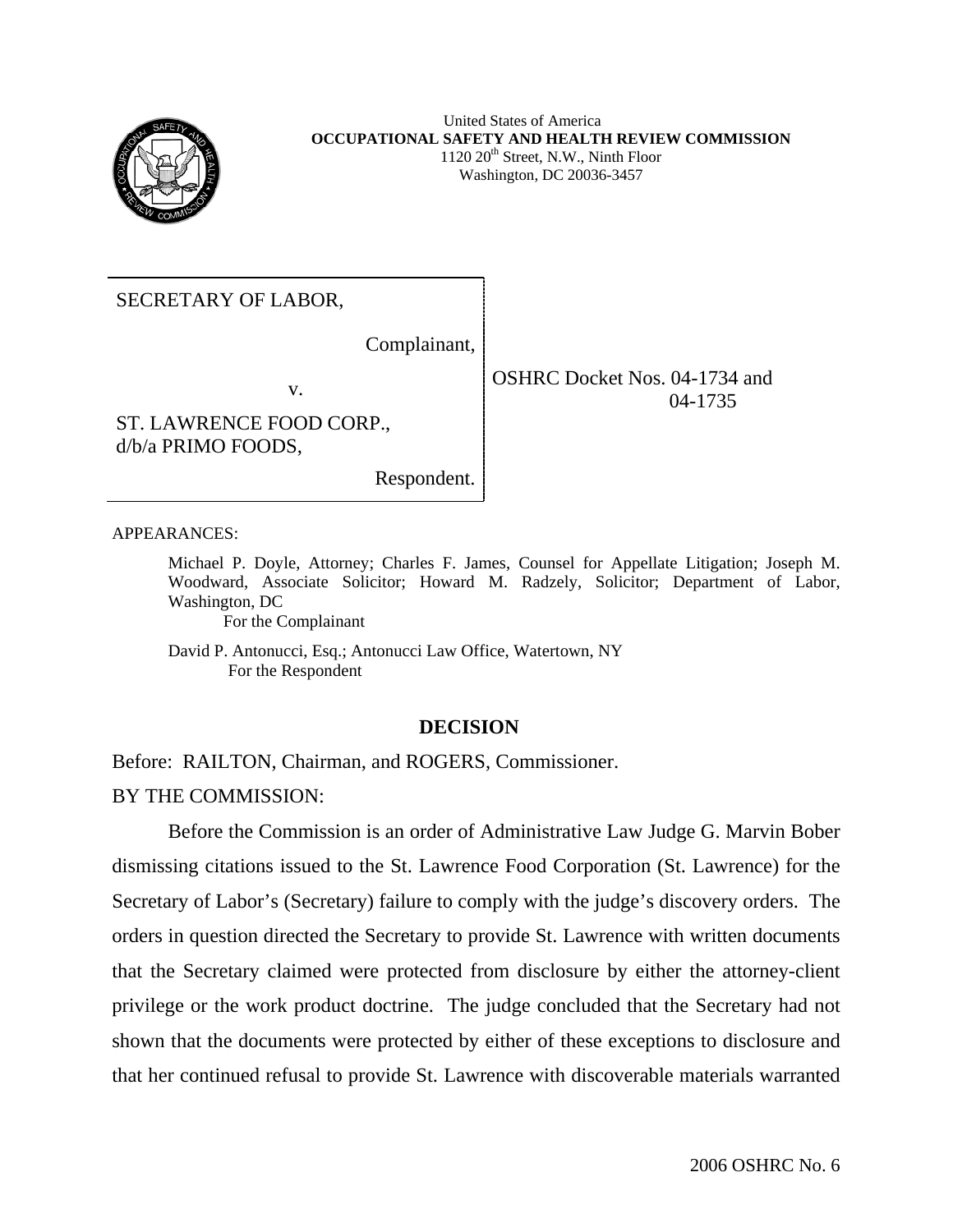

United States of America **OCCUPATIONAL SAFETY AND HEALTH REVIEW COMMISSION**  $1120 \ 20$ <sup>th</sup> Street, N.W., Ninth Floor Washington, DC 20036-3457

SECRETARY OF LABOR,

Complainant,

Respondent.

v.

ST. LAWRENCE FOOD CORP., d/b/a PRIMO FOODS,

OSHRC Docket Nos. 04-1734 and 04-1735

APPEARANCES:

Michael P. Doyle, Attorney; Charles F. James, Counsel for Appellate Litigation; Joseph M. Woodward, Associate Solicitor; Howard M. Radzely, Solicitor; Department of Labor, Washington, DC

For the Complainant

David P. Antonucci, Esq.; Antonucci Law Office, Watertown, NY For the Respondent

### **DECISION**

Before: RAILTON, Chairman, and ROGERS, Commissioner. BY THE COMMISSION:

Before the Commission is an order of Administrative Law Judge G. Marvin Bober dismissing citations issued to the St. Lawrence Food Corporation (St. Lawrence) for the Secretary of Labor's (Secretary) failure to comply with the judge's discovery orders. The orders in question directed the Secretary to provide St. Lawrence with written documents that the Secretary claimed were protected from disclosure by either the attorney-client privilege or the work product doctrine. The judge concluded that the Secretary had not shown that the documents were protected by either of these exceptions to disclosure and that her continued refusal to provide St. Lawrence with discoverable materials warranted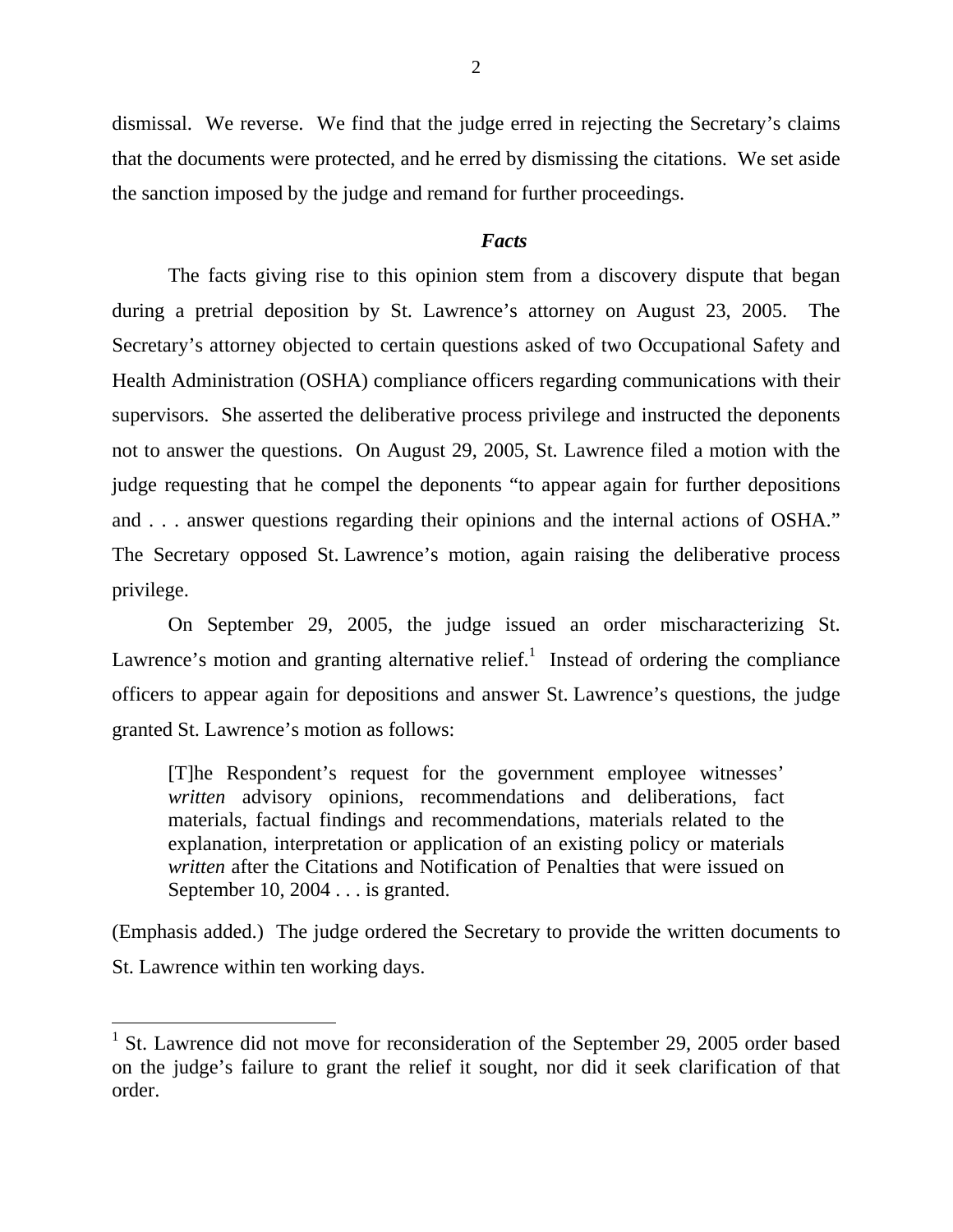dismissal. We reverse. We find that the judge erred in rejecting the Secretary's claims that the documents were protected, and he erred by dismissing the citations. We set aside the sanction imposed by the judge and remand for further proceedings.

### *Facts*

The facts giving rise to this opinion stem from a discovery dispute that began during a pretrial deposition by St. Lawrence's attorney on August 23, 2005. The Secretary's attorney objected to certain questions asked of two Occupational Safety and Health Administration (OSHA) compliance officers regarding communications with their supervisors. She asserted the deliberative process privilege and instructed the deponents not to answer the questions. On August 29, 2005, St. Lawrence filed a motion with the judge requesting that he compel the deponents "to appear again for further depositions and . . . answer questions regarding their opinions and the internal actions of OSHA." The Secretary opposed St. Lawrence's motion, again raising the deliberative process privilege.

 On September 29, 2005, the judge issued an order mischaracterizing St. Lawrence's motion and granting alternative relief.<sup>[1](#page-1-0)</sup> Instead of ordering the compliance officers to appear again for depositions and answer St. Lawrence's questions, the judge granted St. Lawrence's motion as follows:

[T]he Respondent's request for the government employee witnesses' *written* advisory opinions, recommendations and deliberations, fact materials, factual findings and recommendations, materials related to the explanation, interpretation or application of an existing policy or materials *written* after the Citations and Notification of Penalties that were issued on September 10, 2004 . . . is granted.

(Emphasis added.) The judge ordered the Secretary to provide the written documents to St. Lawrence within ten working days.

<span id="page-1-0"></span><sup>&</sup>lt;sup>1</sup> St. Lawrence did not move for reconsideration of the September 29, 2005 order based on the judge's failure to grant the relief it sought, nor did it seek clarification of that order.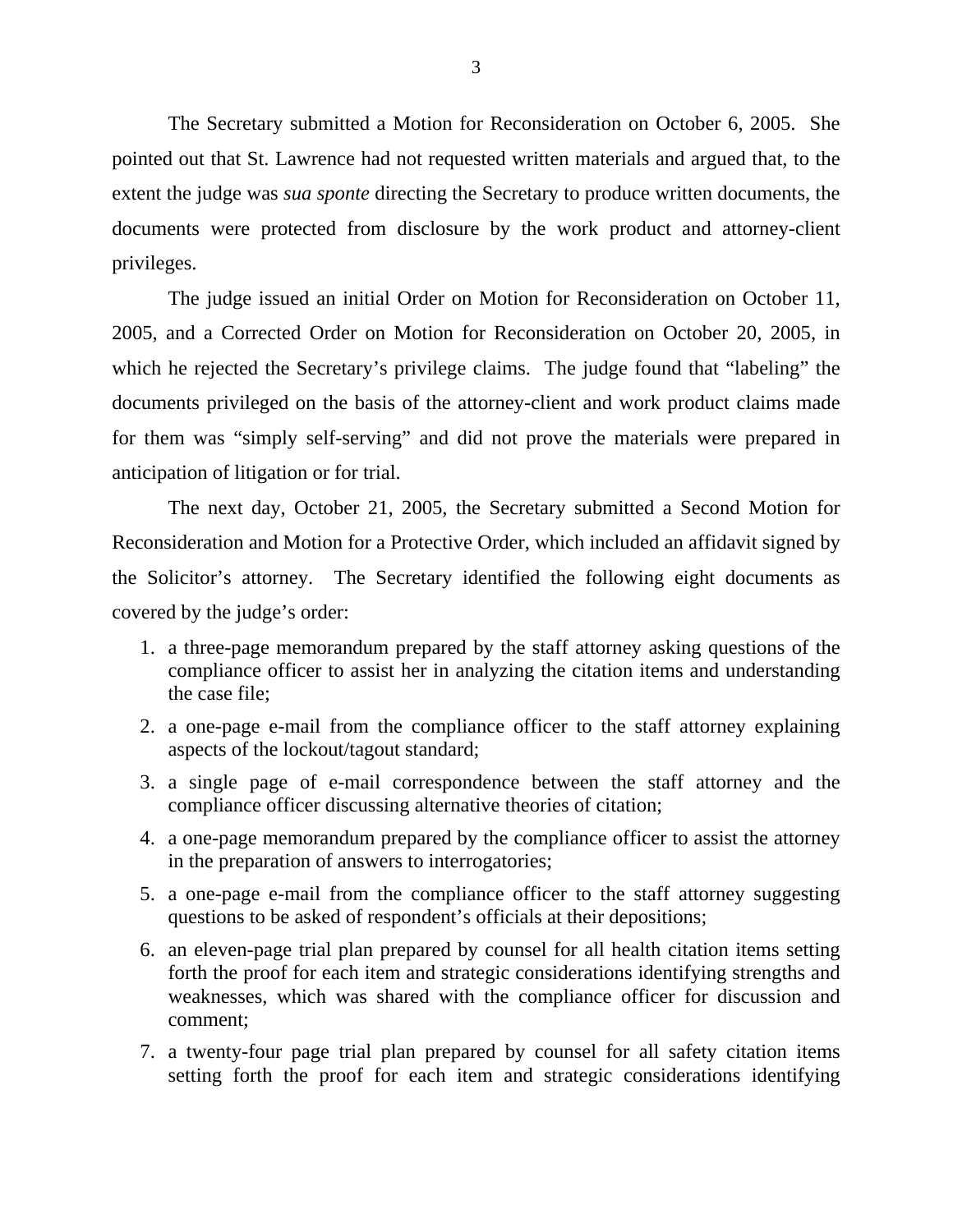The Secretary submitted a Motion for Reconsideration on October 6, 2005. She pointed out that St. Lawrence had not requested written materials and argued that, to the extent the judge was *sua sponte* directing the Secretary to produce written documents, the documents were protected from disclosure by the work product and attorney-client privileges.

 The judge issued an initial Order on Motion for Reconsideration on October 11, 2005, and a Corrected Order on Motion for Reconsideration on October 20, 2005, in which he rejected the Secretary's privilege claims. The judge found that "labeling" the documents privileged on the basis of the attorney-client and work product claims made for them was "simply self-serving" and did not prove the materials were prepared in anticipation of litigation or for trial.

 The next day, October 21, 2005, the Secretary submitted a Second Motion for Reconsideration and Motion for a Protective Order, which included an affidavit signed by the Solicitor's attorney. The Secretary identified the following eight documents as covered by the judge's order:

- 1. a three-page memorandum prepared by the staff attorney asking questions of the compliance officer to assist her in analyzing the citation items and understanding the case file;
- 2. a one-page e-mail from the compliance officer to the staff attorney explaining aspects of the lockout/tagout standard;
- 3. a single page of e-mail correspondence between the staff attorney and the compliance officer discussing alternative theories of citation;
- 4. a one-page memorandum prepared by the compliance officer to assist the attorney in the preparation of answers to interrogatories;
- 5. a one-page e-mail from the compliance officer to the staff attorney suggesting questions to be asked of respondent's officials at their depositions;
- 6. an eleven-page trial plan prepared by counsel for all health citation items setting forth the proof for each item and strategic considerations identifying strengths and weaknesses, which was shared with the compliance officer for discussion and comment;
- 7. a twenty-four page trial plan prepared by counsel for all safety citation items setting forth the proof for each item and strategic considerations identifying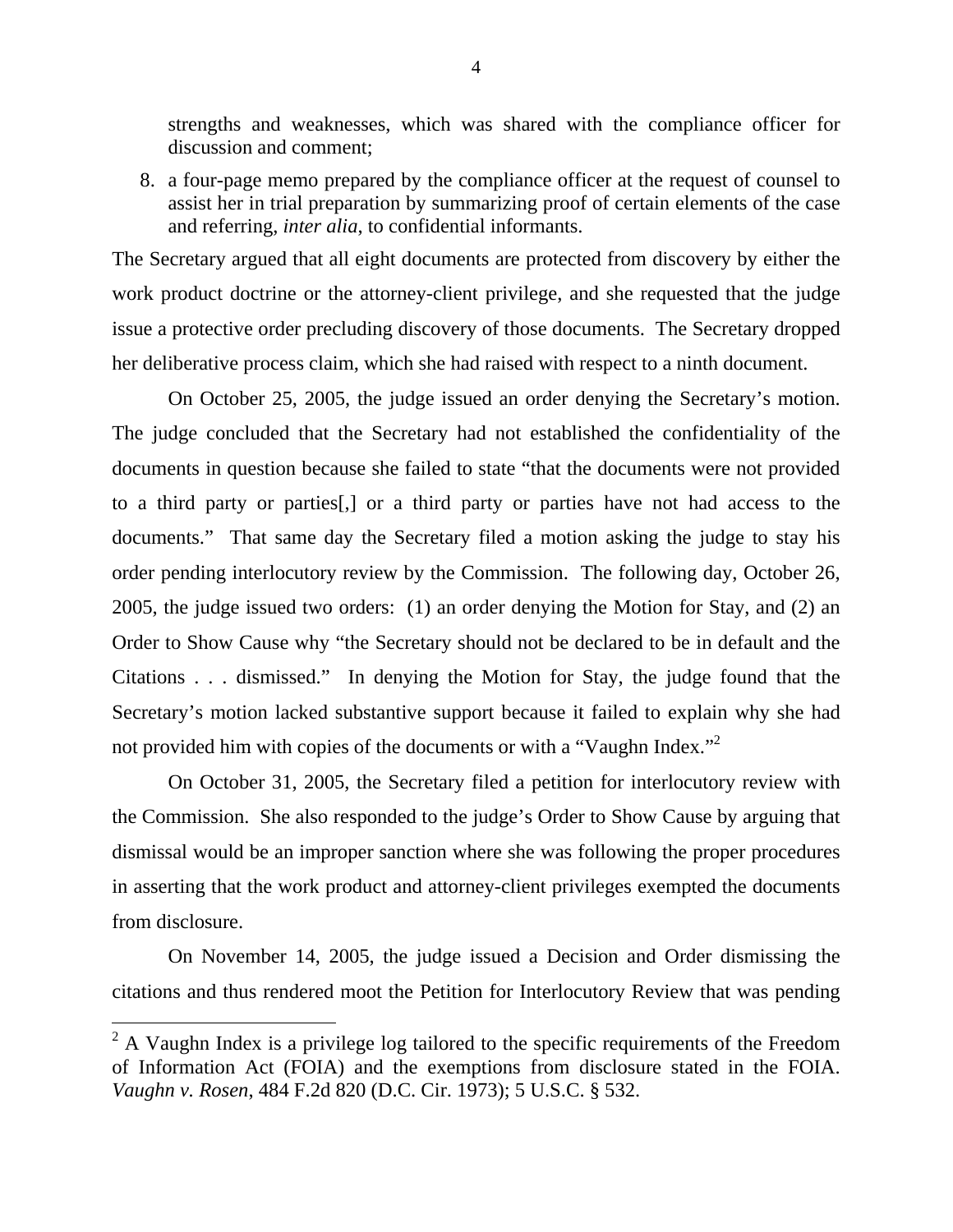strengths and weaknesses, which was shared with the compliance officer for discussion and comment;

8. a four-page memo prepared by the compliance officer at the request of counsel to assist her in trial preparation by summarizing proof of certain elements of the case and referring, *inter alia*, to confidential informants.

The Secretary argued that all eight documents are protected from discovery by either the work product doctrine or the attorney-client privilege, and she requested that the judge issue a protective order precluding discovery of those documents. The Secretary dropped her deliberative process claim, which she had raised with respect to a ninth document.

 On October 25, 2005, the judge issued an order denying the Secretary's motion. The judge concluded that the Secretary had not established the confidentiality of the documents in question because she failed to state "that the documents were not provided to a third party or parties[,] or a third party or parties have not had access to the documents." That same day the Secretary filed a motion asking the judge to stay his order pending interlocutory review by the Commission. The following day, October 26, 2005, the judge issued two orders: (1) an order denying the Motion for Stay, and (2) an Order to Show Cause why "the Secretary should not be declared to be in default and the Citations . . . dismissed." In denying the Motion for Stay, the judge found that the Secretary's motion lacked substantive support because it failed to explain why she had not provided him with copies of the documents or with a "Vaughn Index."<sup>[2](#page-3-0)</sup>

 On October 31, 2005, the Secretary filed a petition for interlocutory review with the Commission. She also responded to the judge's Order to Show Cause by arguing that dismissal would be an improper sanction where she was following the proper procedures in asserting that the work product and attorney-client privileges exempted the documents from disclosure.

 On November 14, 2005, the judge issued a Decision and Order dismissing the citations and thus rendered moot the Petition for Interlocutory Review that was pending

<span id="page-3-0"></span> $2^2$  A Vaughn Index is a privilege log tailored to the specific requirements of the Freedom of Information Act (FOIA) and the exemptions from disclosure stated in the FOIA. *Vaughn v. Rosen*, 484 F.2d 820 (D.C. Cir. 1973); 5 U.S.C. § 532.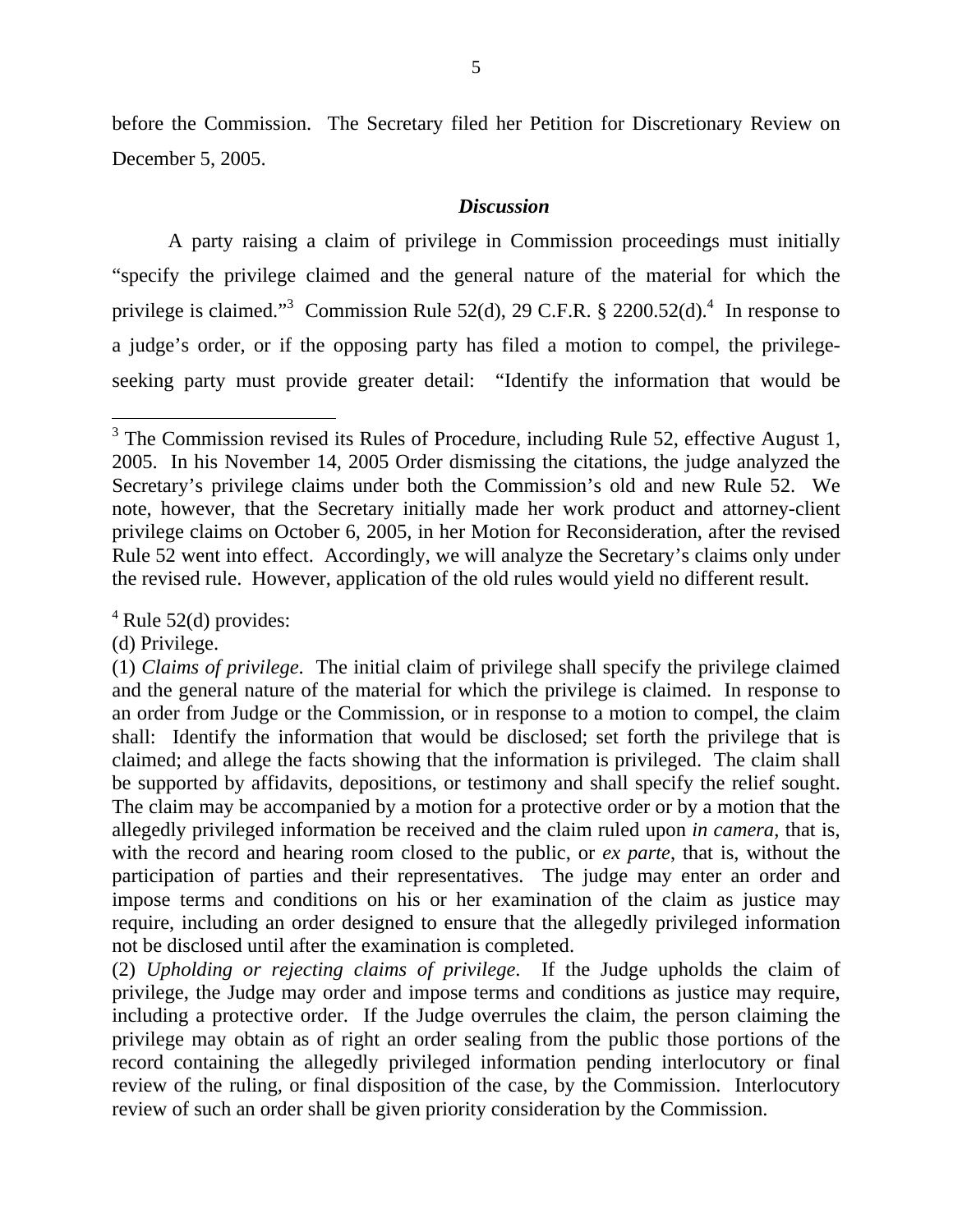before the Commission. The Secretary filed her Petition for Discretionary Review on December 5, 2005.

# *Discussion*

 A party raising a claim of privilege in Commission proceedings must initially "specify the privilege claimed and the general nature of the material for which the privilege is claimed."<sup>[3](#page-4-0)</sup> Commission Rule 52(d), 29 C.F.R. § 2200.52(d).<sup>[4](#page-4-1)</sup> In response to a judge's order, or if the opposing party has filed a motion to compel, the privilegeseeking party must provide greater detail: "Identify the information that would be

<span id="page-4-1"></span> $4$  Rule 52(d) provides:

(d) Privilege.

<span id="page-4-0"></span> $3$  The Commission revised its Rules of Procedure, including Rule 52, effective August 1, 2005. In his November 14, 2005 Order dismissing the citations, the judge analyzed the Secretary's privilege claims under both the Commission's old and new Rule 52. We note, however, that the Secretary initially made her work product and attorney-client privilege claims on October 6, 2005, in her Motion for Reconsideration, after the revised Rule 52 went into effect. Accordingly, we will analyze the Secretary's claims only under the revised rule. However, application of the old rules would yield no different result.

<sup>(1)</sup> *Claims of privilege*. The initial claim of privilege shall specify the privilege claimed and the general nature of the material for which the privilege is claimed. In response to an order from Judge or the Commission, or in response to a motion to compel, the claim shall: Identify the information that would be disclosed; set forth the privilege that is claimed; and allege the facts showing that the information is privileged. The claim shall be supported by affidavits, depositions, or testimony and shall specify the relief sought. The claim may be accompanied by a motion for a protective order or by a motion that the allegedly privileged information be received and the claim ruled upon *in camera*, that is, with the record and hearing room closed to the public, or *ex parte*, that is, without the participation of parties and their representatives. The judge may enter an order and impose terms and conditions on his or her examination of the claim as justice may require, including an order designed to ensure that the allegedly privileged information not be disclosed until after the examination is completed.

<sup>(2)</sup> *Upholding or rejecting claims of privilege*. If the Judge upholds the claim of privilege, the Judge may order and impose terms and conditions as justice may require, including a protective order. If the Judge overrules the claim, the person claiming the privilege may obtain as of right an order sealing from the public those portions of the record containing the allegedly privileged information pending interlocutory or final review of the ruling, or final disposition of the case, by the Commission. Interlocutory review of such an order shall be given priority consideration by the Commission.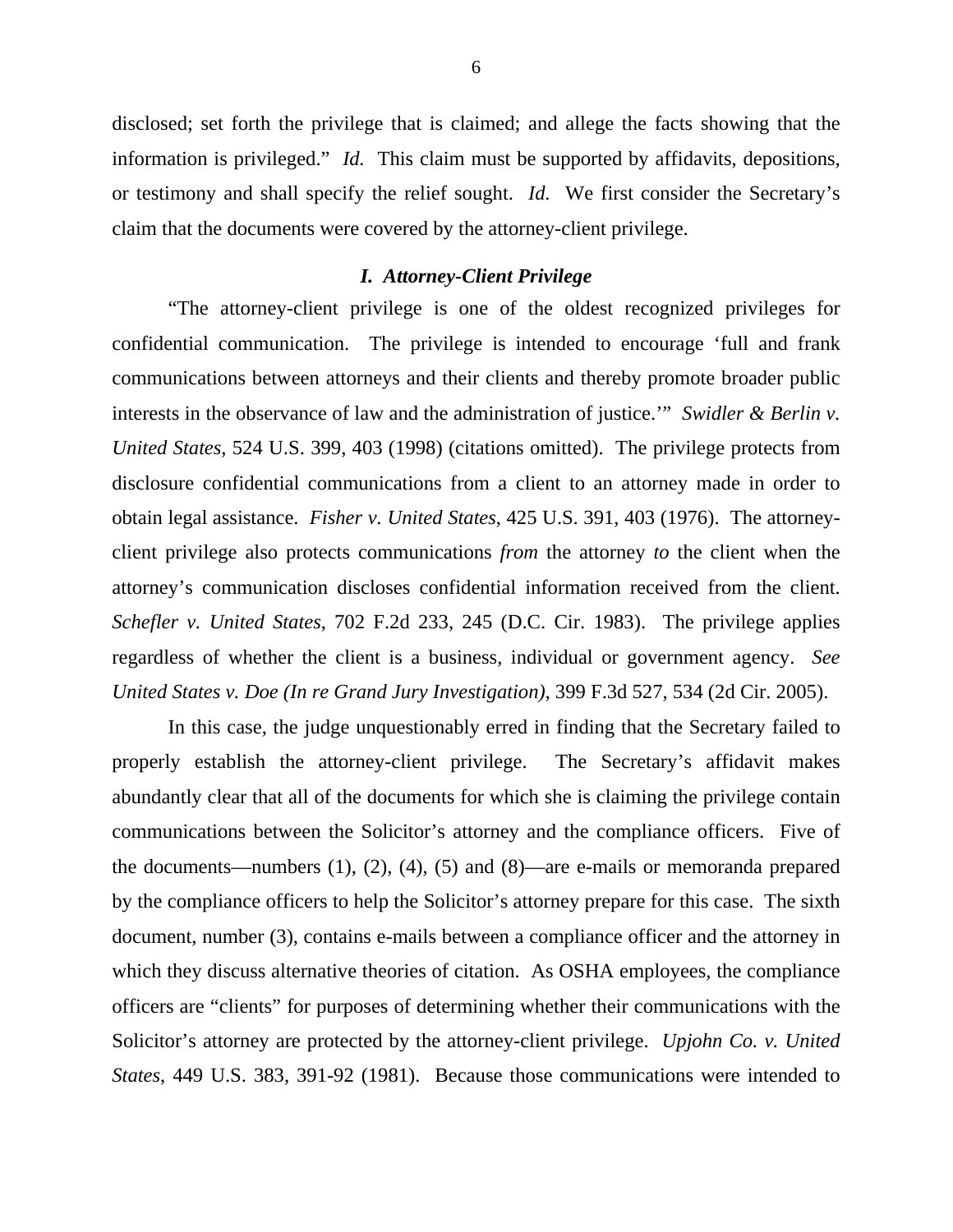disclosed; set forth the privilege that is claimed; and allege the facts showing that the information is privileged." *Id.* This claim must be supported by affidavits, depositions, or testimony and shall specify the relief sought. *Id.* We first consider the Secretary's claim that the documents were covered by the attorney-client privilege.

### *I. Attorney-Client Privilege*

 "The attorney-client privilege is one of the oldest recognized privileges for confidential communication. The privilege is intended to encourage 'full and frank communications between attorneys and their clients and thereby promote broader public interests in the observance of law and the administration of justice.'" *Swidler & Berlin v. United States*, 524 U.S. 399, 403 (1998) (citations omitted). The privilege protects from disclosure confidential communications from a client to an attorney made in order to obtain legal assistance. *Fisher v. United States*, 425 U.S. 391, 403 (1976). The attorneyclient privilege also protects communications *from* the attorney *to* the client when the attorney's communication discloses confidential information received from the client. *Schefler v. United States*, 702 F.2d 233, 245 (D.C. Cir. 1983). The privilege applies regardless of whether the client is a business, individual or government agency. *See United States v. Doe (In re Grand Jury Investigation)*, 399 F.3d 527, 534 (2d Cir. 2005).

 In this case, the judge unquestionably erred in finding that the Secretary failed to properly establish the attorney-client privilege. The Secretary's affidavit makes abundantly clear that all of the documents for which she is claiming the privilege contain communications between the Solicitor's attorney and the compliance officers. Five of the documents—numbers (1), (2), (4), (5) and (8)—are e-mails or memoranda prepared by the compliance officers to help the Solicitor's attorney prepare for this case. The sixth document, number (3), contains e-mails between a compliance officer and the attorney in which they discuss alternative theories of citation. As OSHA employees, the compliance officers are "clients" for purposes of determining whether their communications with the Solicitor's attorney are protected by the attorney-client privilege. *Upjohn Co. v. United States*, 449 U.S. 383, 391-92 (1981). Because those communications were intended to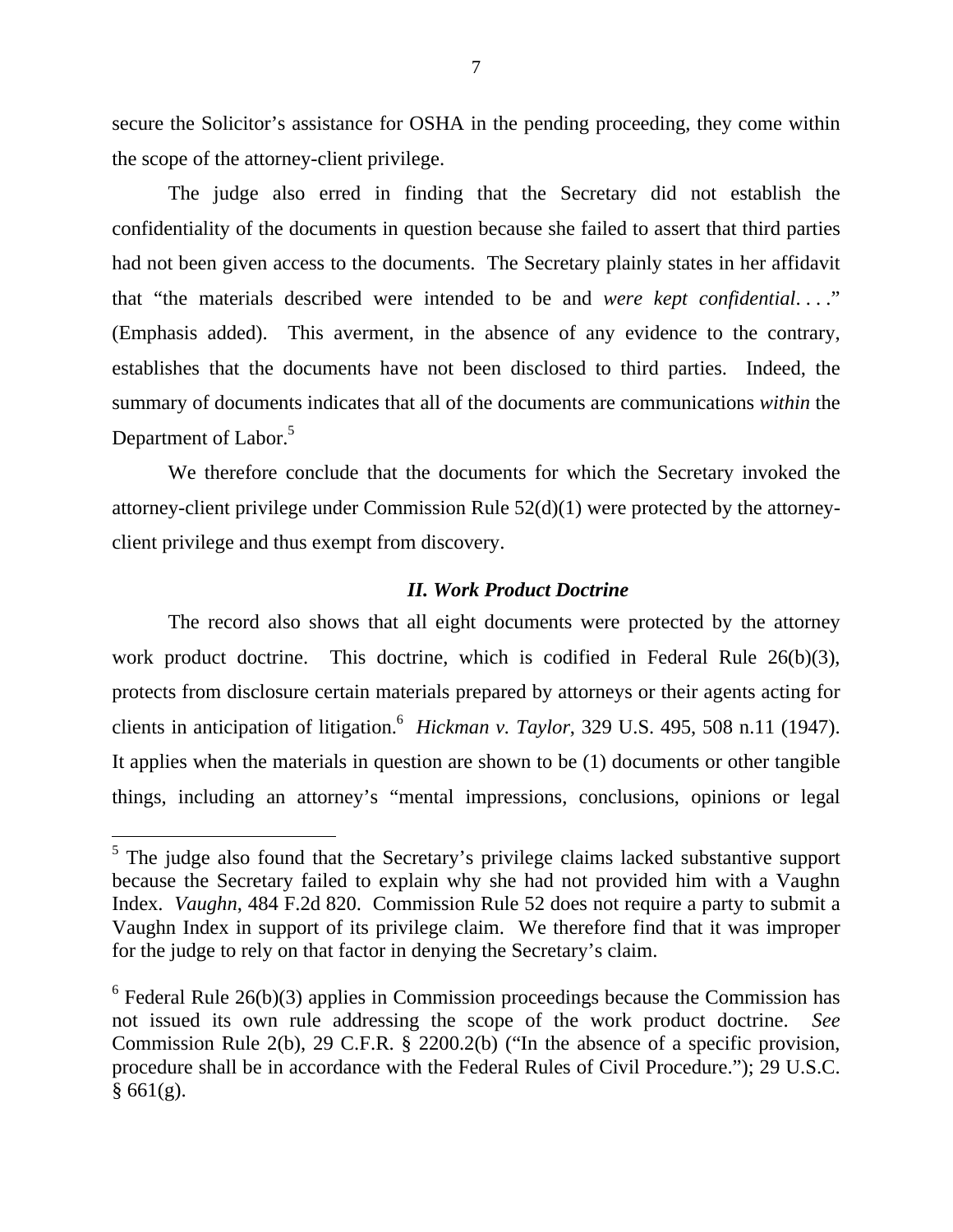secure the Solicitor's assistance for OSHA in the pending proceeding, they come within the scope of the attorney-client privilege.

 The judge also erred in finding that the Secretary did not establish the confidentiality of the documents in question because she failed to assert that third parties had not been given access to the documents. The Secretary plainly states in her affidavit that "the materials described were intended to be and *were kept confidential*. . . ." (Emphasis added). This averment, in the absence of any evidence to the contrary, establishes that the documents have not been disclosed to third parties. Indeed, the summary of documents indicates that all of the documents are communications *within* the Department of Labor.<sup>5</sup>

We therefore conclude that the documents for which the Secretary invoked the attorney-client privilege under Commission Rule 52(d)(1) were protected by the attorneyclient privilege and thus exempt from discovery.

# *II. Work Product Doctrine*

 The record also shows that all eight documents were protected by the attorney work product doctrine. This doctrine, which is codified in Federal Rule 26(b)(3), protects from disclosure certain materials prepared by attorneys or their agents acting for clients in anticipation of litigation.<sup>6</sup> *Hickman v. Taylor*, 329 U.S. 495, 508 n.11 (1947). It applies when the materials in question are shown to be (1) documents or other tangible things, including an attorney's "mental impressions, conclusions, opinions or legal

<span id="page-6-0"></span><sup>&</sup>lt;sup>5</sup> The judge also found that the Secretary's privilege claims lacked substantive support because the Secretary failed to explain why she had not provided him with a Vaughn Index. *Vaughn*, 484 F.2d 820. Commission Rule 52 does not require a party to submit a Vaughn Index in support of its privilege claim. We therefore find that it was improper for the judge to rely on that factor in denying the Secretary's claim.

<span id="page-6-1"></span> $6$  Federal Rule 26(b)(3) applies in Commission proceedings because the Commission has not issued its own rule addressing the scope of the work product doctrine. *See*  Commission Rule 2(b), 29 C.F.R. § 2200.2(b) ("In the absence of a specific provision, procedure shall be in accordance with the Federal Rules of Civil Procedure."); 29 U.S.C.  $§ 661(g).$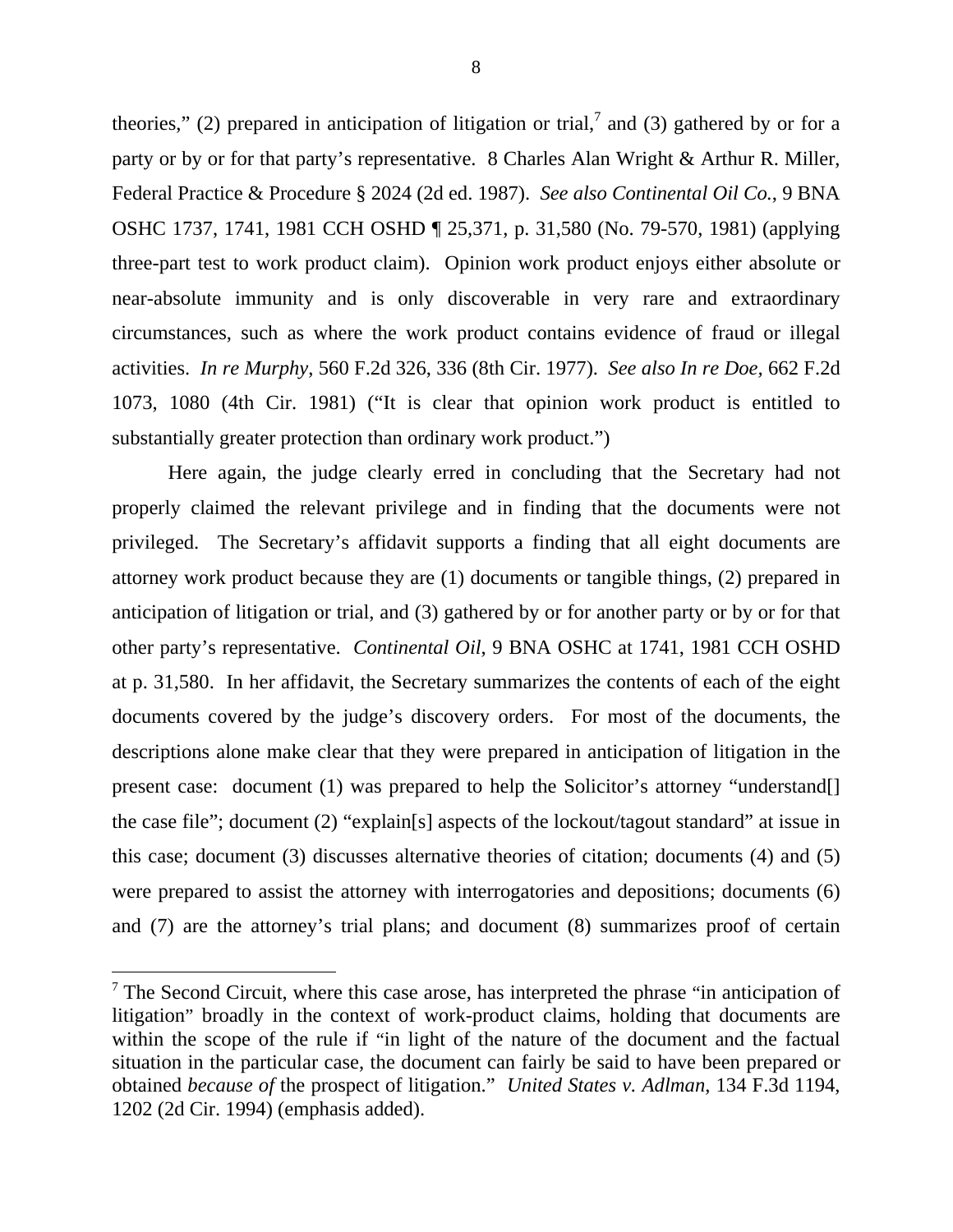theories," (2) prepared in anticipation of litigation or trial,<sup>[7](#page-7-0)</sup> and (3) gathered by or for a party or by or for that party's representative. 8 Charles Alan Wright & Arthur R. Miller, Federal Practice & Procedure § 2024 (2d ed. 1987). *See also Continental Oil Co.*, 9 BNA OSHC 1737, 1741, 1981 CCH OSHD ¶ 25,371, p. 31,580 (No. 79-570, 1981) (applying three-part test to work product claim). Opinion work product enjoys either absolute or near-absolute immunity and is only discoverable in very rare and extraordinary circumstances, such as where the work product contains evidence of fraud or illegal activities. *In re Murphy*, 560 F.2d 326, 336 (8th Cir. 1977). *See also In re Doe,* 662 F.2d 1073, 1080 (4th Cir. 1981) ("It is clear that opinion work product is entitled to substantially greater protection than ordinary work product.")

Here again, the judge clearly erred in concluding that the Secretary had not properly claimed the relevant privilege and in finding that the documents were not privileged. The Secretary's affidavit supports a finding that all eight documents are attorney work product because they are (1) documents or tangible things, (2) prepared in anticipation of litigation or trial, and (3) gathered by or for another party or by or for that other party's representative. *Continental Oil*, 9 BNA OSHC at 1741, 1981 CCH OSHD at p. 31,580. In her affidavit, the Secretary summarizes the contents of each of the eight documents covered by the judge's discovery orders. For most of the documents, the descriptions alone make clear that they were prepared in anticipation of litigation in the present case: document (1) was prepared to help the Solicitor's attorney "understand[] the case file"; document (2) "explain[s] aspects of the lockout/tagout standard" at issue in this case; document (3) discusses alternative theories of citation; documents (4) and (5) were prepared to assist the attorney with interrogatories and depositions; documents (6) and (7) are the attorney's trial plans; and document (8) summarizes proof of certain

<span id="page-7-0"></span> $<sup>7</sup>$  The Second Circuit, where this case arose, has interpreted the phrase "in anticipation of</sup> litigation" broadly in the context of work-product claims, holding that documents are within the scope of the rule if "in light of the nature of the document and the factual situation in the particular case, the document can fairly be said to have been prepared or obtained *because of* the prospect of litigation." *United States v. Adlman*, 134 F.3d 1194, 1202 (2d Cir. 1994) (emphasis added).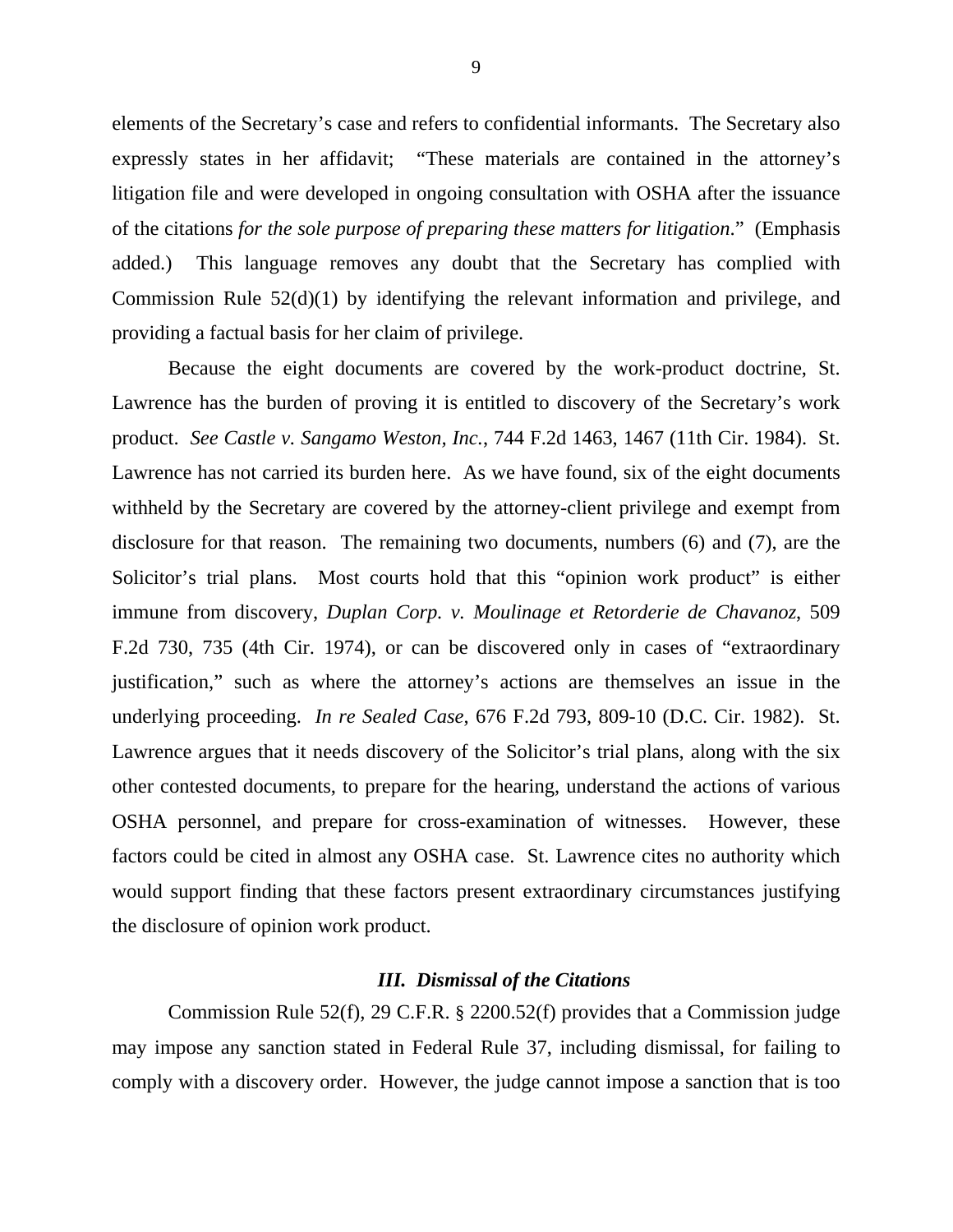elements of the Secretary's case and refers to confidential informants. The Secretary also expressly states in her affidavit; "These materials are contained in the attorney's litigation file and were developed in ongoing consultation with OSHA after the issuance of the citations *for the sole purpose of preparing these matters for litigation*." (Emphasis added.) This language removes any doubt that the Secretary has complied with Commission Rule 52(d)(1) by identifying the relevant information and privilege, and providing a factual basis for her claim of privilege.

Because the eight documents are covered by the work-product doctrine, St. Lawrence has the burden of proving it is entitled to discovery of the Secretary's work product. *See Castle v. Sangamo Weston, Inc.*, 744 F.2d 1463, 1467 (11th Cir. 1984). St. Lawrence has not carried its burden here. As we have found, six of the eight documents withheld by the Secretary are covered by the attorney-client privilege and exempt from disclosure for that reason. The remaining two documents, numbers (6) and (7), are the Solicitor's trial plans. Most courts hold that this "opinion work product" is either immune from discovery, *Duplan Corp. v. Moulinage et Retorderie de Chavanoz*, 509 F.2d 730, 735 (4th Cir. 1974), or can be discovered only in cases of "extraordinary justification," such as where the attorney's actions are themselves an issue in the underlying proceeding. *In re Sealed Case*, 676 F.2d 793, 809-10 (D.C. Cir. 1982). St. Lawrence argues that it needs discovery of the Solicitor's trial plans, along with the six other contested documents, to prepare for the hearing, understand the actions of various OSHA personnel, and prepare for cross-examination of witnesses. However, these factors could be cited in almost any OSHA case. St. Lawrence cites no authority which would support finding that these factors present extraordinary circumstances justifying the disclosure of opinion work product.

### *III. Dismissal of the Citations*

 Commission Rule 52(f), 29 C.F.R. § 2200.52(f) provides that a Commission judge may impose any sanction stated in Federal Rule 37, including dismissal, for failing to comply with a discovery order. However, the judge cannot impose a sanction that is too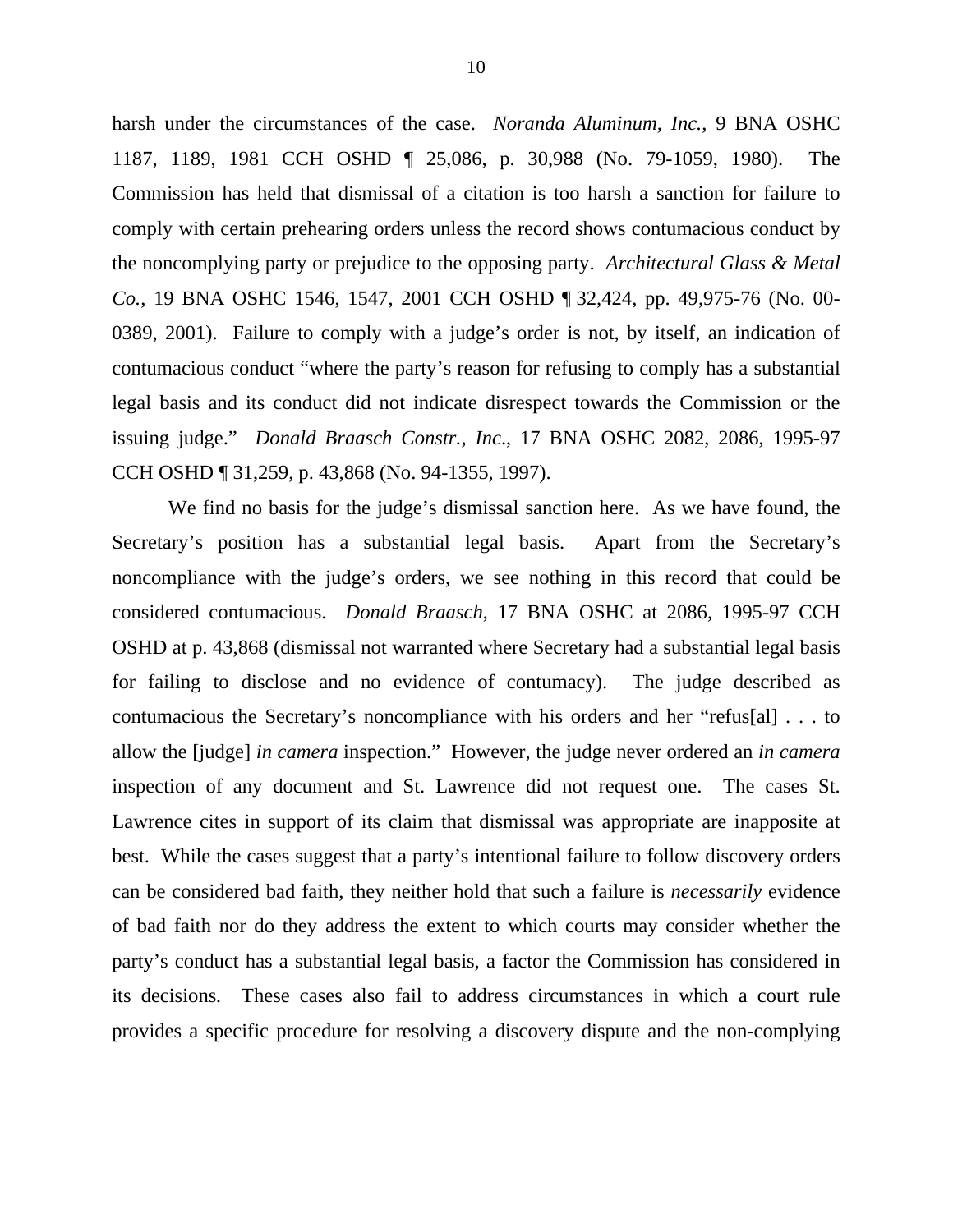harsh under the circumstances of the case. *Noranda Aluminum, Inc.*, 9 BNA OSHC 1187, 1189, 1981 CCH OSHD ¶ 25,086, p. 30,988 (No. 79-1059, 1980). The Commission has held that dismissal of a citation is too harsh a sanction for failure to comply with certain prehearing orders unless the record shows contumacious conduct by the noncomplying party or prejudice to the opposing party. *Architectural Glass & Metal Co.*, 19 BNA OSHC 1546, 1547, 2001 CCH OSHD ¶ 32,424, pp. 49,975-76 (No. 00- 0389, 2001). Failure to comply with a judge's order is not, by itself, an indication of contumacious conduct "where the party's reason for refusing to comply has a substantial legal basis and its conduct did not indicate disrespect towards the Commission or the issuing judge." *Donald Braasch Constr., Inc*., 17 BNA OSHC 2082, 2086, 1995-97 CCH OSHD ¶ 31,259, p. 43,868 (No. 94-1355, 1997).

We find no basis for the judge's dismissal sanction here. As we have found, the Secretary's position has a substantial legal basis. Apart from the Secretary's noncompliance with the judge's orders, we see nothing in this record that could be considered contumacious. *Donald Braasch*, 17 BNA OSHC at 2086, 1995-97 CCH OSHD at p. 43,868 (dismissal not warranted where Secretary had a substantial legal basis for failing to disclose and no evidence of contumacy). The judge described as contumacious the Secretary's noncompliance with his orders and her "refus[al] . . . to allow the [judge] *in camera* inspection." However, the judge never ordered an *in camera* inspection of any document and St. Lawrence did not request one. The cases St. Lawrence cites in support of its claim that dismissal was appropriate are inapposite at best. While the cases suggest that a party's intentional failure to follow discovery orders can be considered bad faith, they neither hold that such a failure is *necessarily* evidence of bad faith nor do they address the extent to which courts may consider whether the party's conduct has a substantial legal basis, a factor the Commission has considered in its decisions*.* These cases also fail to address circumstances in which a court rule provides a specific procedure for resolving a discovery dispute and the non-complying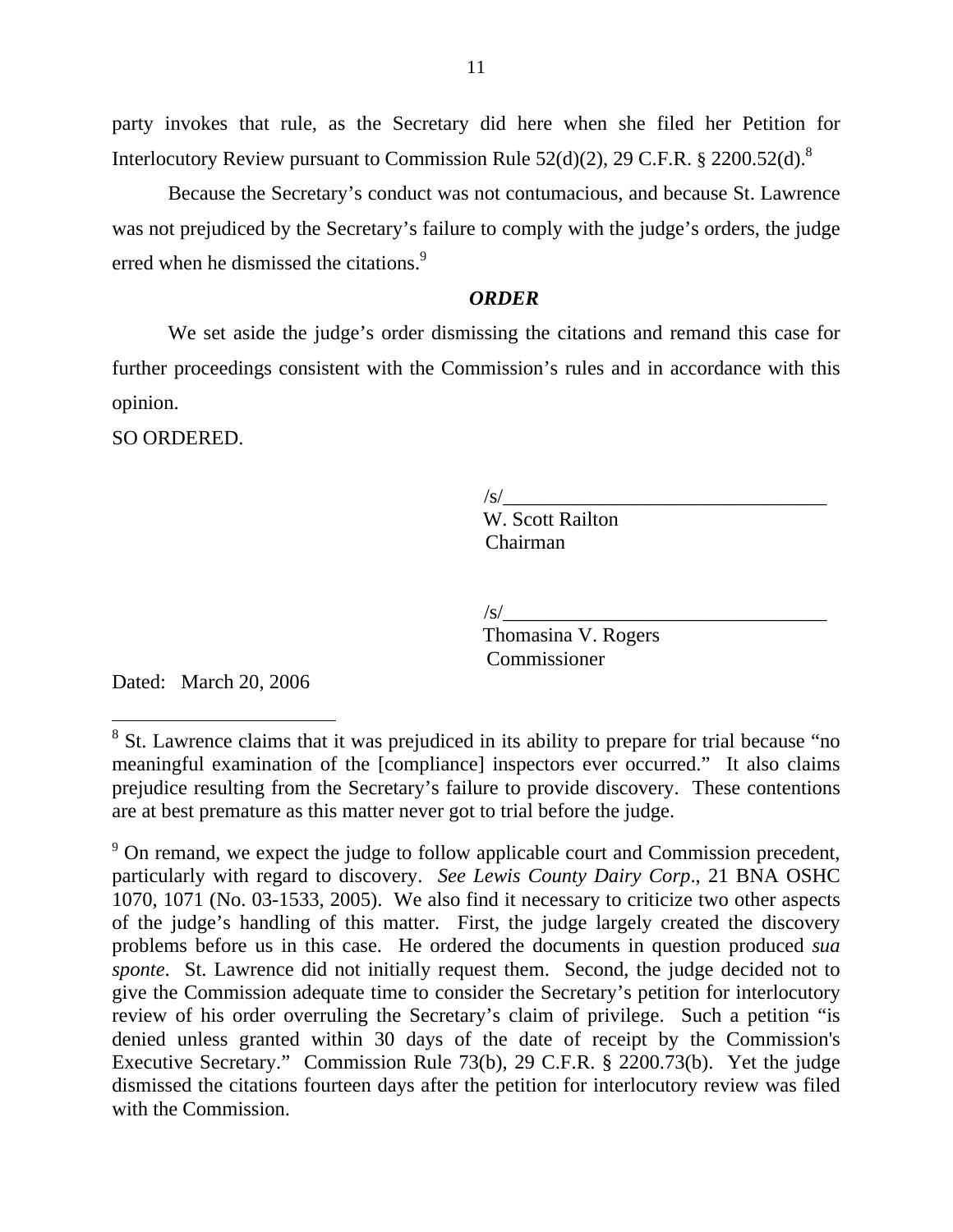party invokes that rule, as the Secretary did here when she filed her Petition for Interlocutory Review pursuant to Commission Rule  $52(d)(2)$ , 29 C.F.R. § 2200.52(d).<sup>[8](#page-10-0)</sup>

 Because the Secretary's conduct was not contumacious, and because St. Lawrence was not prejudiced by the Secretary's failure to comply with the judge's orders, the judge erred when he dismissed the citations.<sup>[9](#page-10-1)</sup>

## *ORDER*

 We set aside the judge's order dismissing the citations and remand this case for further proceedings consistent with the Commission's rules and in accordance with this opinion.

SO ORDERED.

 $\sqrt{s}$ / W. Scott Railton Chairman

 $\sqrt{s}$ /

 Thomasina V. Rogers **Commissioner** 

Dated: March 20, 2006

<span id="page-10-0"></span><sup>&</sup>lt;sup>8</sup> St. Lawrence claims that it was prejudiced in its ability to prepare for trial because "no meaningful examination of the [compliance] inspectors ever occurred." It also claims prejudice resulting from the Secretary's failure to provide discovery. These contentions are at best premature as this matter never got to trial before the judge.

<span id="page-10-1"></span> $9^9$  On remand, we expect the judge to follow applicable court and Commission precedent, particularly with regard to discovery. *See Lewis County Dairy Corp*., 21 BNA OSHC 1070, 1071 (No. 03-1533, 2005). We also find it necessary to criticize two other aspects of the judge's handling of this matter. First, the judge largely created the discovery problems before us in this case. He ordered the documents in question produced *sua sponte*. St. Lawrence did not initially request them. Second, the judge decided not to give the Commission adequate time to consider the Secretary's petition for interlocutory review of his order overruling the Secretary's claim of privilege. Such a petition "is denied unless granted within 30 days of the date of receipt by the Commission's Executive Secretary." Commission Rule 73(b), 29 C.F.R. § 2200.73(b). Yet the judge dismissed the citations fourteen days after the petition for interlocutory review was filed with the Commission.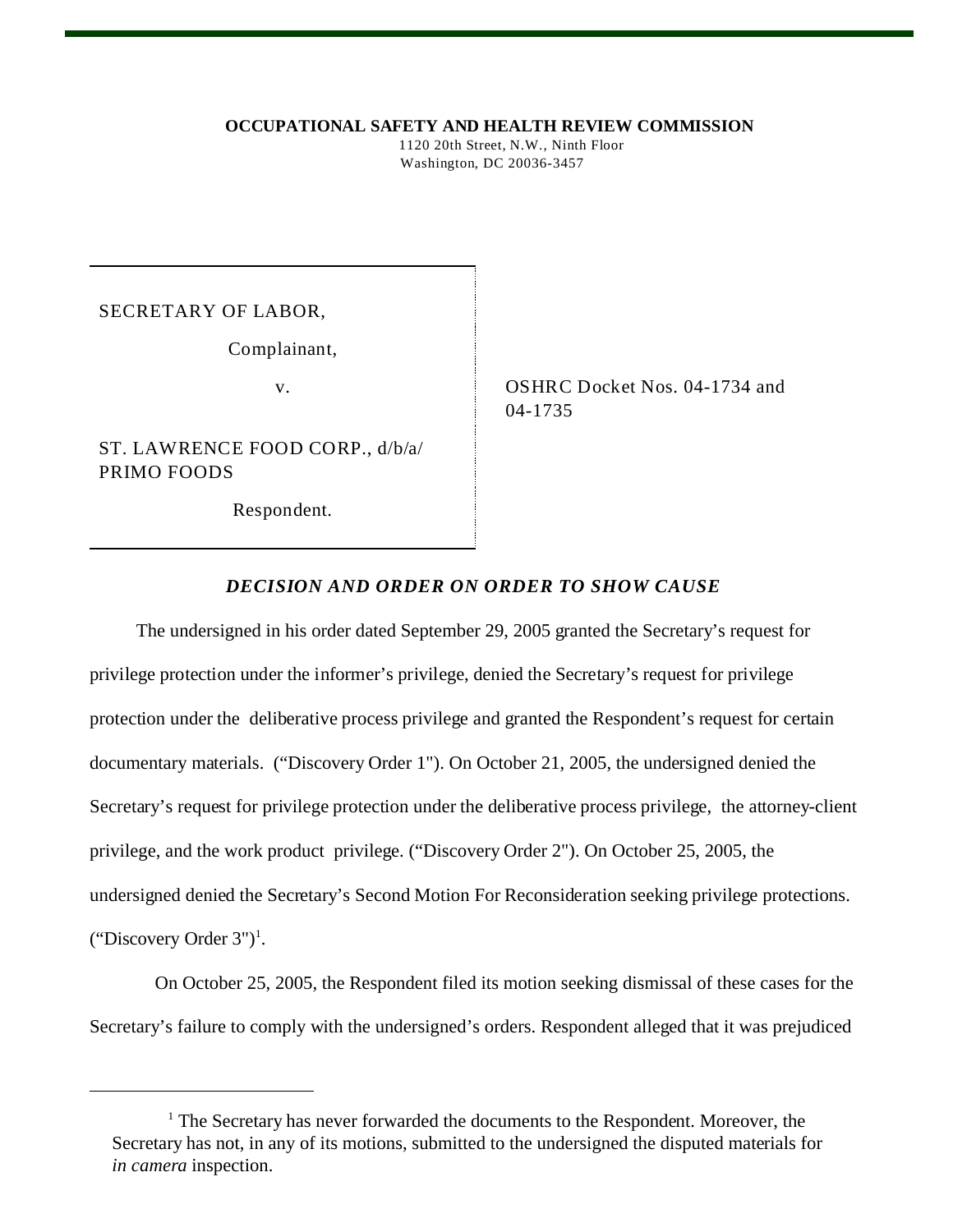**OCCUPATIONAL SAFETY AND HEALTH REVIEW COMMISSION**

 1120 20th Street, N.W., Ninth Floor Washington, DC 20036-3457

SECRETARY OF LABOR,

Complainant,

ST. LAWRENCE FOOD CORP., d/b/a/ PRIMO FOODS

Respondent.

v. Same Strategy Construction Construction Construction Construction Construction Construction Construction Construction Construction Construction Construction Construction Construction Construction Construction Constructi 04-1735

## *DECISION AND ORDER ON ORDER TO SHOW CAUSE*

 The undersigned in his order dated September 29, 2005 granted the Secretary's request for privilege protection under the informer's privilege, denied the Secretary's request for privilege protection under the deliberative process privilege and granted the Respondent's request for certain documentary materials. ("Discovery Order 1"). On October 21, 2005, the undersigned denied the Secretary's request for privilege protection under the deliberative process privilege, the attorney-client privilege, and the work product privilege. ("Discovery Order 2"). On October 25, 2005, the undersigned denied the Secretary's Second Motion For Reconsideration seeking privilege protections. ("Discovery Order  $3"$ )<sup>1</sup>.

 On October 25, 2005, the Respondent filed its motion seeking dismissal of these cases for the Secretary's failure to comply with the undersigned's orders. Respondent alleged that it was prejudiced

<sup>&</sup>lt;sup>1</sup> The Secretary has never forwarded the documents to the Respondent. Moreover, the Secretary has not, in any of its motions, submitted to the undersigned the disputed materials for *in camera* inspection.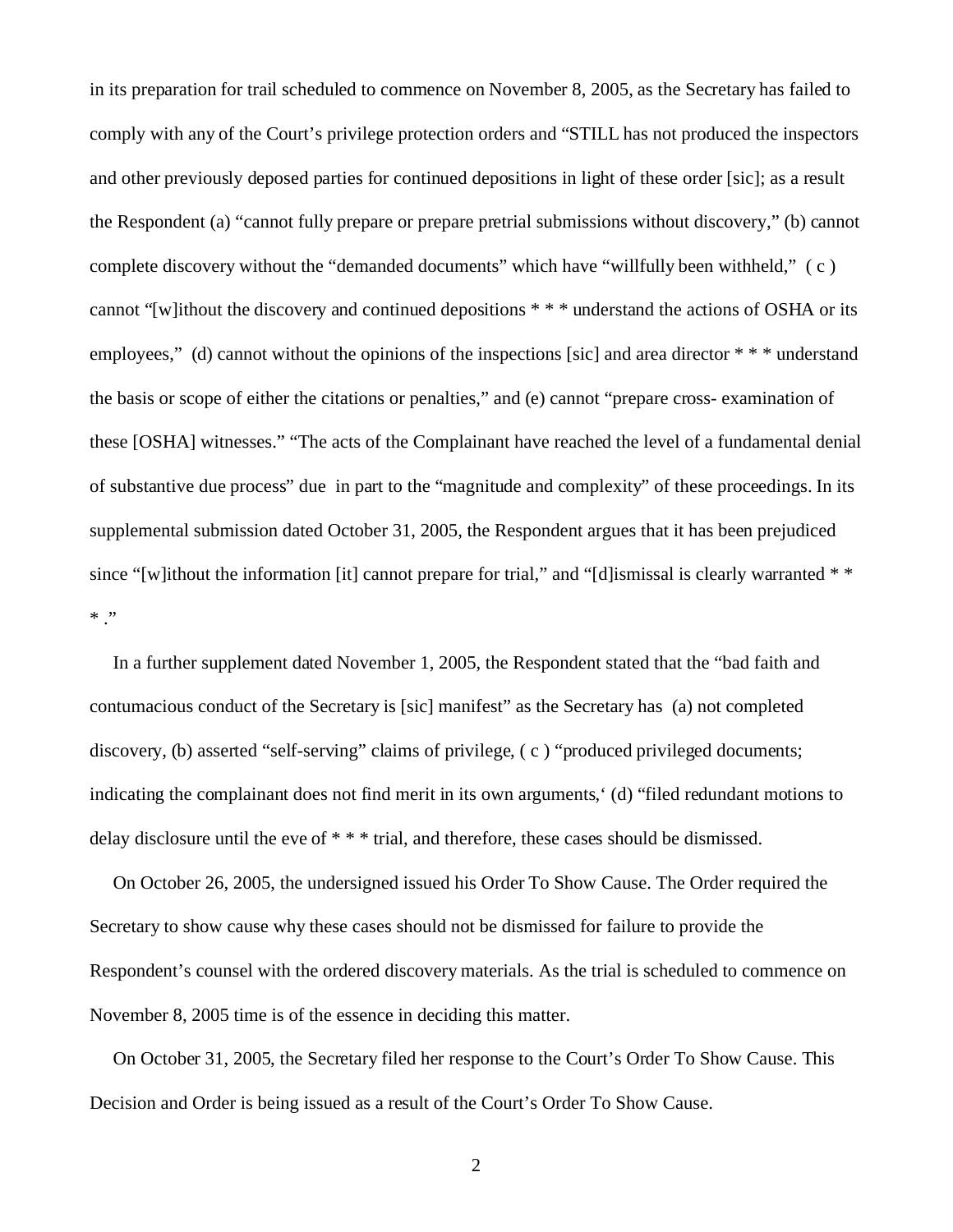in its preparation for trail scheduled to commence on November 8, 2005, as the Secretary has failed to comply with any of the Court's privilege protection orders and "STILL has not produced the inspectors and other previously deposed parties for continued depositions in light of these order [sic]; as a result the Respondent (a) "cannot fully prepare or prepare pretrial submissions without discovery," (b) cannot complete discovery without the "demanded documents" which have "willfully been withheld," ( c ) cannot "[w]ithout the discovery and continued depositions \* \* \* understand the actions of OSHA or its employees," (d) cannot without the opinions of the inspections [sic] and area director  $**$  \* understand the basis or scope of either the citations or penalties," and (e) cannot "prepare cross- examination of these [OSHA] witnesses." "The acts of the Complainant have reached the level of a fundamental denial of substantive due process" due in part to the "magnitude and complexity" of these proceedings. In its supplemental submission dated October 31, 2005, the Respondent argues that it has been prejudiced since "[w]ithout the information [it] cannot prepare for trial," and "[d]ismissal is clearly warranted  $**$  $*$  ."

 In a further supplement dated November 1, 2005, the Respondent stated that the "bad faith and contumacious conduct of the Secretary is [sic] manifest" as the Secretary has (a) not completed discovery, (b) asserted "self-serving" claims of privilege, ( c ) "produced privileged documents; indicating the complainant does not find merit in its own arguments,' (d) "filed redundant motions to delay disclosure until the eve of \* \* \* trial, and therefore, these cases should be dismissed.

 On October 26, 2005, the undersigned issued his Order To Show Cause. The Order required the Secretary to show cause why these cases should not be dismissed for failure to provide the Respondent's counsel with the ordered discovery materials. As the trial is scheduled to commence on November 8, 2005 time is of the essence in deciding this matter.

 On October 31, 2005, the Secretary filed her response to the Court's Order To Show Cause. This Decision and Order is being issued as a result of the Court's Order To Show Cause.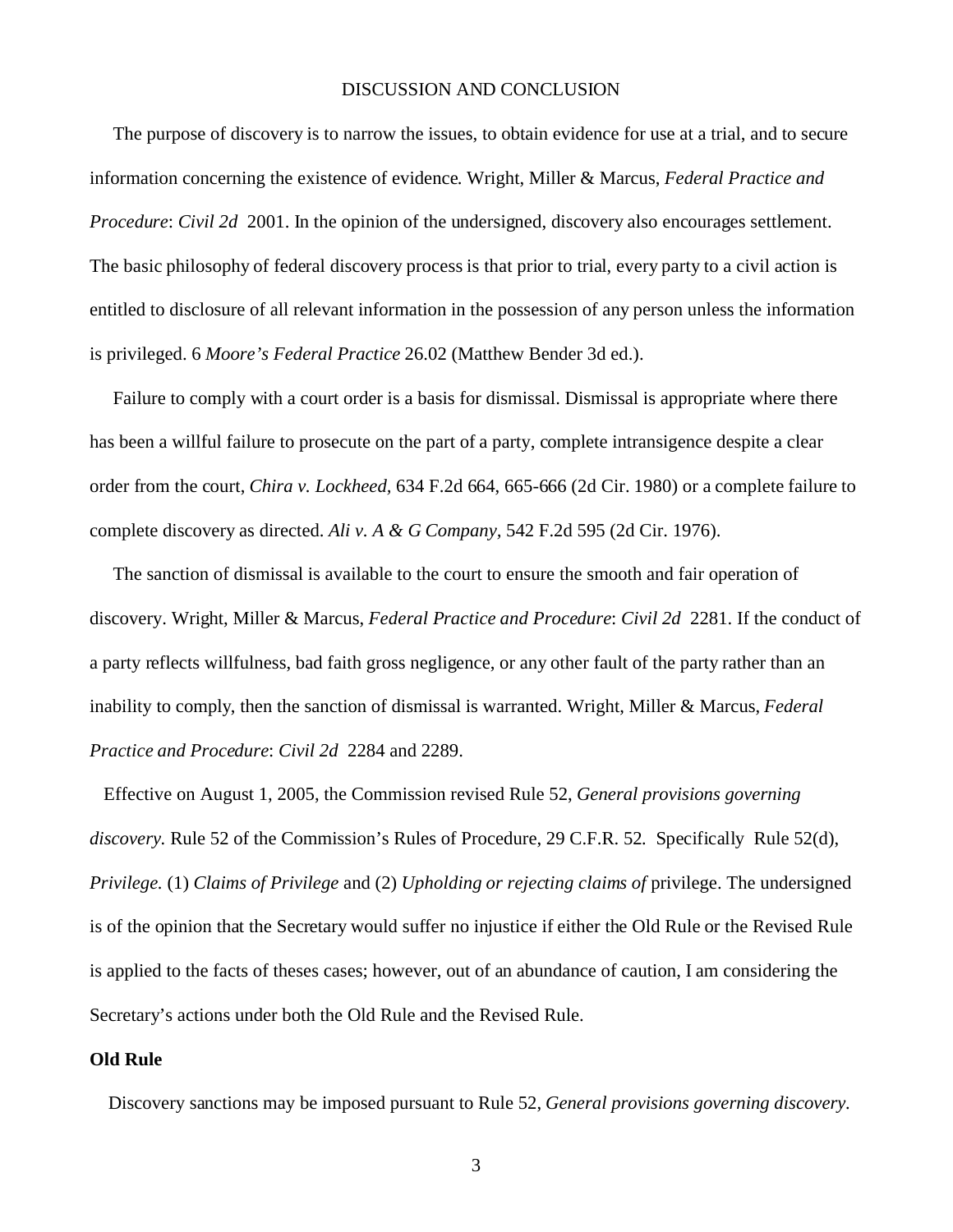# DISCUSSION AND CONCLUSION

 The purpose of discovery is to narrow the issues, to obtain evidence for use at a trial, and to secure information concerning the existence of evidence. Wright, Miller & Marcus, *Federal Practice and Procedure*: *Civil 2d* 2001. In the opinion of the undersigned, discovery also encourages settlement. The basic philosophy of federal discovery process is that prior to trial, every party to a civil action is entitled to disclosure of all relevant information in the possession of any person unless the information is privileged. 6 *Moore's Federal Practice* 26.02 (Matthew Bender 3d ed.).

 Failure to comply with a court order is a basis for dismissal. Dismissal is appropriate where there has been a willful failure to prosecute on the part of a party, complete intransigence despite a clear order from the court, *Chira v. Lockheed,* 634 F.2d 664, 665-666 (2d Cir. 1980) or a complete failure to complete discovery as directed. *Ali v. A & G Company,* 542 F.2d 595 (2d Cir. 1976).

 The sanction of dismissal is available to the court to ensure the smooth and fair operation of discovery. Wright, Miller & Marcus, *Federal Practice and Procedure*: *Civil 2d* 2281. If the conduct of a party reflects willfulness, bad faith gross negligence, or any other fault of the party rather than an inability to comply, then the sanction of dismissal is warranted. Wright, Miller & Marcus, *Federal Practice and Procedure*: *Civil 2d* 2284 and 2289.

 Effective on August 1, 2005, the Commission revised Rule 52, *General provisions governing discovery.* Rule 52 of the Commission's Rules of Procedure, 29 C.F.R. 52*.* Specifically Rule 52(d), *Privilege.* (1) *Claims of Privilege* and (2) *Upholding or rejecting claims of* privilege. The undersigned is of the opinion that the Secretary would suffer no injustice if either the Old Rule or the Revised Rule is applied to the facts of theses cases; however, out of an abundance of caution, I am considering the Secretary's actions under both the Old Rule and the Revised Rule.

#### **Old Rule**

Discovery sanctions may be imposed pursuant to Rule 52, *General provisions governing discovery.*

3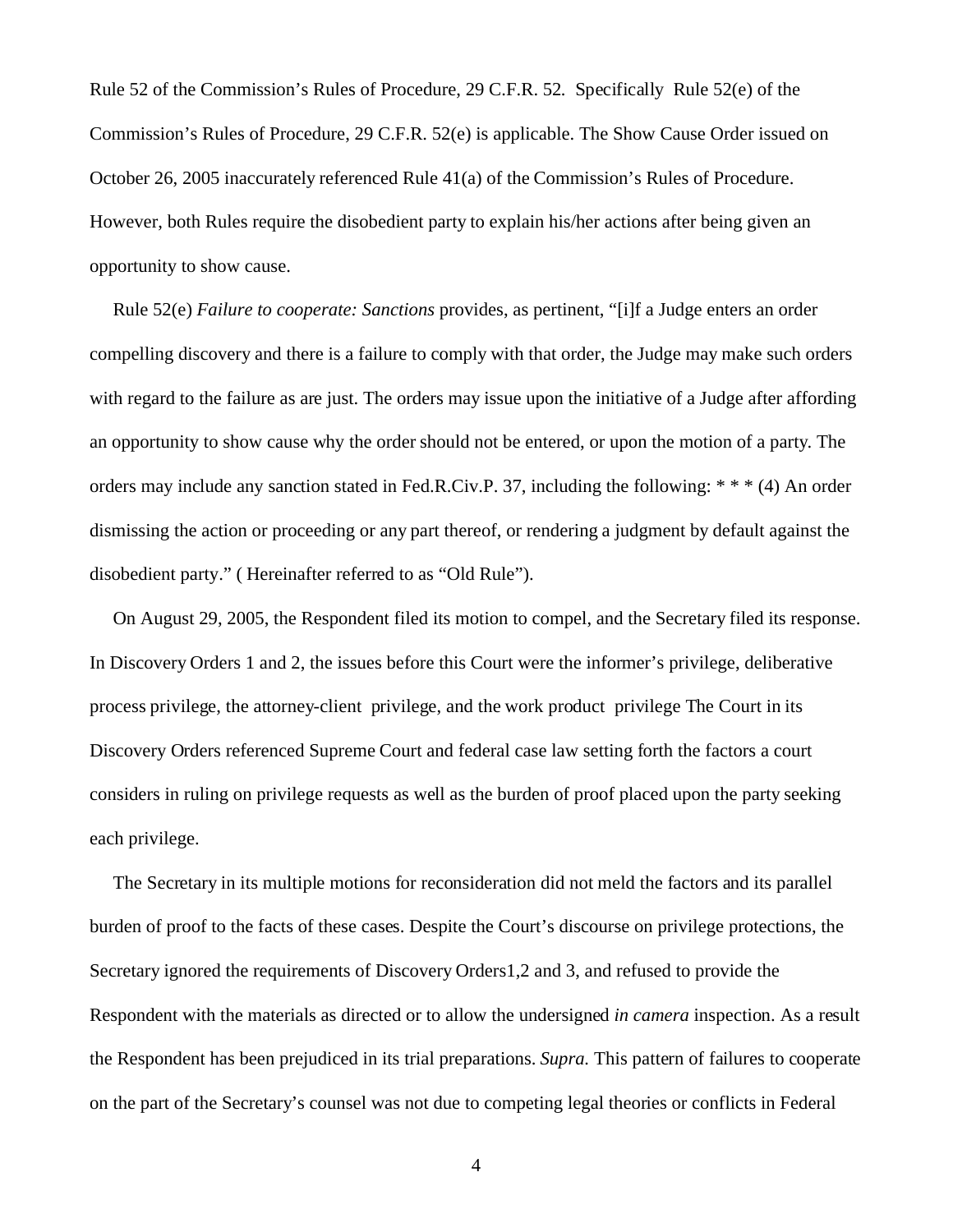Rule 52 of the Commission's Rules of Procedure, 29 C.F.R. 52*.* Specifically Rule 52(e) of the Commission's Rules of Procedure, 29 C.F.R. 52(e) is applicable. The Show Cause Order issued on October 26, 2005 inaccurately referenced Rule 41(a) of the Commission's Rules of Procedure. However, both Rules require the disobedient party to explain his/her actions after being given an opportunity to show cause.

 Rule 52(e) *Failure to cooperate: Sanctions* provides, as pertinent, "[i]f a Judge enters an order compelling discovery and there is a failure to comply with that order, the Judge may make such orders with regard to the failure as are just. The orders may issue upon the initiative of a Judge after affording an opportunity to show cause why the order should not be entered, or upon the motion of a party. The orders may include any sanction stated in Fed.R.Civ.P. 37, including the following: \* \* \* (4) An order dismissing the action or proceeding or any part thereof, or rendering a judgment by default against the disobedient party." ( Hereinafter referred to as "Old Rule").

 On August 29, 2005, the Respondent filed its motion to compel, and the Secretary filed its response. In Discovery Orders 1 and 2, the issues before this Court were the informer's privilege, deliberative process privilege, the attorney-client privilege, and the work product privilege The Court in its Discovery Orders referenced Supreme Court and federal case law setting forth the factors a court considers in ruling on privilege requests as well as the burden of proof placed upon the party seeking each privilege.

 The Secretary in its multiple motions for reconsideration did not meld the factors and its parallel burden of proof to the facts of these cases. Despite the Court's discourse on privilege protections, the Secretary ignored the requirements of Discovery Orders1,2 and 3, and refused to provide the Respondent with the materials as directed or to allow the undersigned *in camera* inspection. As a result the Respondent has been prejudiced in its trial preparations. *Supra.* This pattern of failures to cooperate on the part of the Secretary's counsel was not due to competing legal theories or conflicts in Federal

4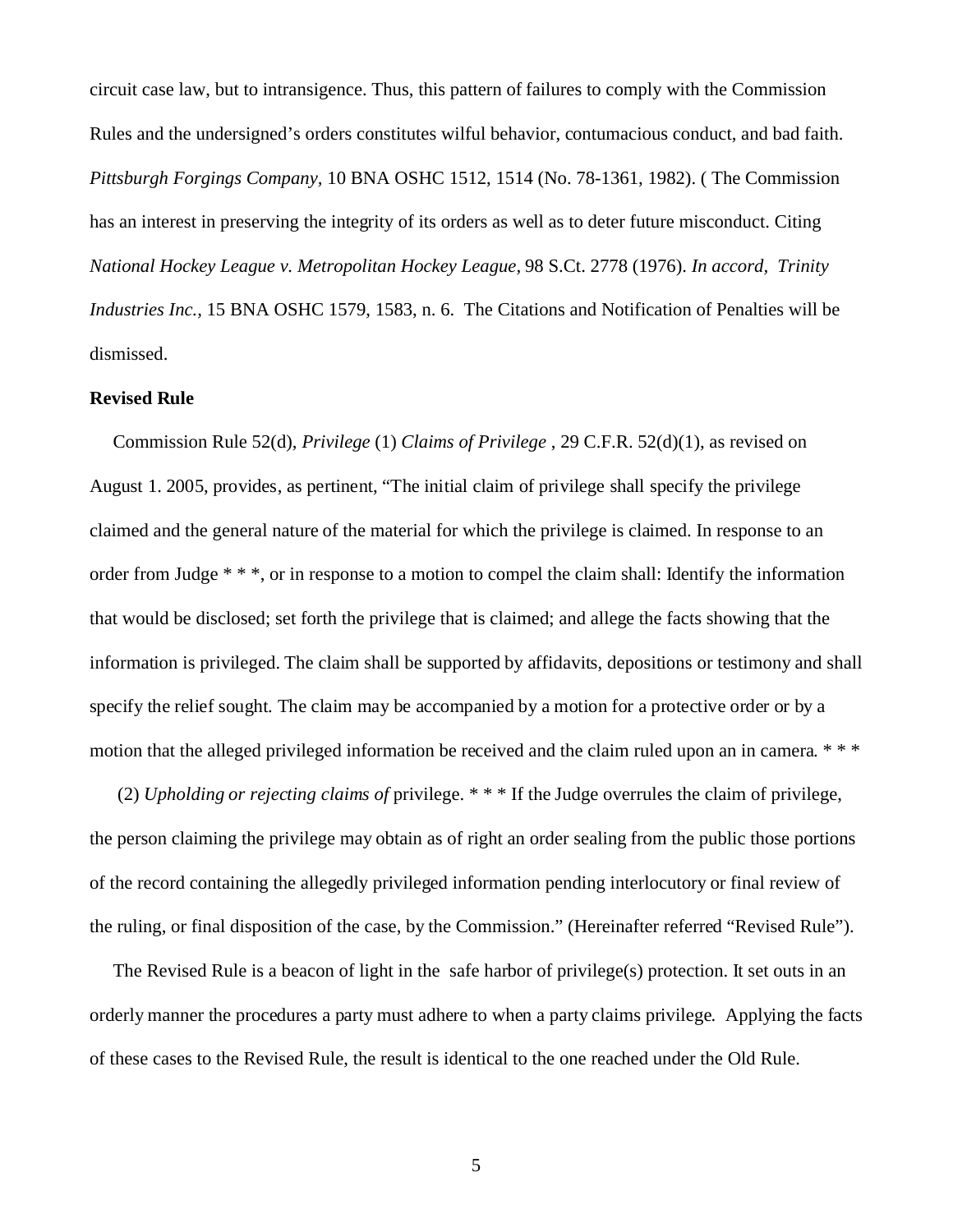circuit case law, but to intransigence. Thus, this pattern of failures to comply with the Commission Rules and the undersigned's orders constitutes wilful behavior, contumacious conduct, and bad faith. *Pittsburgh Forgings Company,* 10 BNA OSHC 1512, 1514 (No. 78-1361, 1982). ( The Commission has an interest in preserving the integrity of its orders as well as to deter future misconduct. Citing *National Hockey League v. Metropolitan Hockey League,* 98 S.Ct. 2778 (1976). *In accord, Trinity Industries Inc.,* 15 BNA OSHC 1579, 1583, n. 6. The Citations and Notification of Penalties will be dismissed.

#### **Revised Rule**

 Commission Rule 52(d), *Privilege* (1) *Claims of Privilege* , 29 C.F.R. 52(d)(1), as revised on August 1. 2005, provides, as pertinent, "The initial claim of privilege shall specify the privilege claimed and the general nature of the material for which the privilege is claimed. In response to an order from Judge \* \* \*, or in response to a motion to compel the claim shall: Identify the information that would be disclosed; set forth the privilege that is claimed; and allege the facts showing that the information is privileged. The claim shall be supported by affidavits, depositions or testimony and shall specify the relief sought. The claim may be accompanied by a motion for a protective order or by a motion that the alleged privileged information be received and the claim ruled upon an in camera. \* \* \*

 (2) *Upholding or rejecting claims of* privilege. \* \* \* If the Judge overrules the claim of privilege, the person claiming the privilege may obtain as of right an order sealing from the public those portions of the record containing the allegedly privileged information pending interlocutory or final review of the ruling, or final disposition of the case, by the Commission." (Hereinafter referred "Revised Rule").

 The Revised Rule is a beacon of light in the safe harbor of privilege(s) protection. It set outs in an orderly manner the procedures a party must adhere to when a party claims privilege. Applying the facts of these cases to the Revised Rule, the result is identical to the one reached under the Old Rule.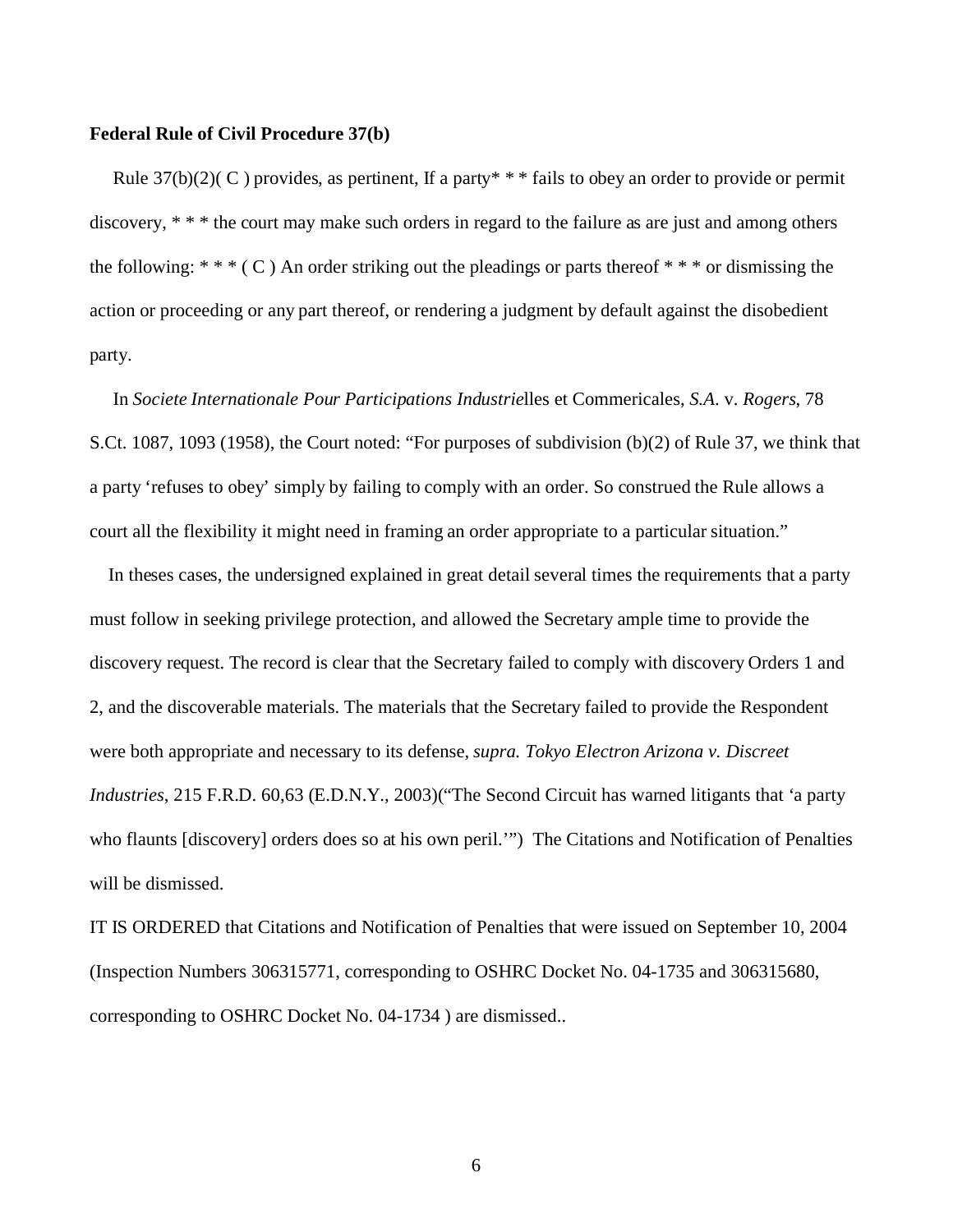#### **Federal Rule of Civil Procedure 37(b)**

Rule 37(b)(2)( C ) provides, as pertinent, If a party\* \* \* fails to obey an order to provide or permit discovery, \* \* \* the court may make such orders in regard to the failure as are just and among others the following: \* \* \* (C) An order striking out the pleadings or parts thereof \* \* \* or dismissing the action or proceeding or any part thereof, or rendering a judgment by default against the disobedient party.

 In *Societe Internationale Pour Participations Industrie*lles et Commericales, *S.A*. v. *Rogers*, 78 S.Ct. 1087, 1093 (1958), the Court noted: "For purposes of subdivision (b)(2) of Rule 37, we think that a party 'refuses to obey' simply by failing to comply with an order. So construed the Rule allows a court all the flexibility it might need in framing an order appropriate to a particular situation."

 In theses cases, the undersigned explained in great detail several times the requirements that a party must follow in seeking privilege protection, and allowed the Secretary ample time to provide the discovery request. The record is clear that the Secretary failed to comply with discovery Orders 1 and 2, and the discoverable materials. The materials that the Secretary failed to provide the Respondent were both appropriate and necessary to its defense, *supra. Tokyo Electron Arizona v. Discreet Industries*, 215 F.R.D. 60,63 (E.D.N.Y., 2003)("The Second Circuit has warned litigants that 'a party who flaunts [discovery] orders does so at his own peril.'") The Citations and Notification of Penalties will be dismissed.

IT IS ORDERED that Citations and Notification of Penalties that were issued on September 10, 2004 (Inspection Numbers 306315771, corresponding to OSHRC Docket No. 04-1735 and 306315680, corresponding to OSHRC Docket No. 04-1734 ) are dismissed..

6